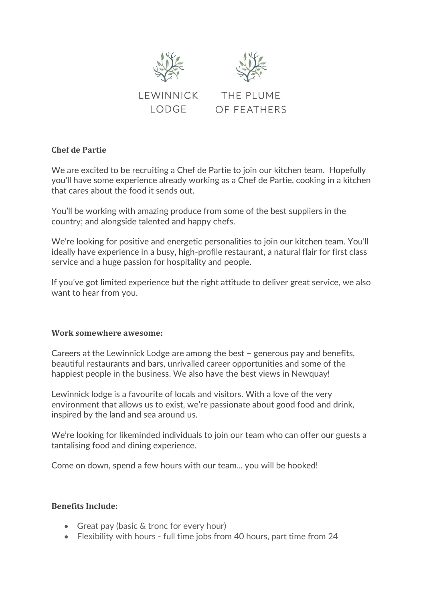





## **Chef de Partie**

We are excited to be recruiting a Chef de Partie to join our kitchen team. Hopefully you'll have some experience already working as a Chef de Partie, cooking in a kitchen that cares about the food it sends out.

You'll be working with amazing produce from some of the best suppliers in the country; and alongside talented and happy chefs.

We're looking for positive and energetic personalities to join our kitchen team. You'll ideally have experience in a busy, high-profile restaurant, a natural flair for first class service and a huge passion for hospitality and people.

If you've got limited experience but the right attitude to deliver great service, we also want to hear from you.

## **Work somewhere awesome:**

Careers at the Lewinnick Lodge are among the best – generous pay and benefits, beautiful restaurants and bars, unrivalled career opportunities and some of the happiest people in the business. We also have the best views in Newquay!

Lewinnick lodge is a favourite of locals and visitors. With a love of the very environment that allows us to exist, we're passionate about good food and drink, inspired by the land and sea around us.

We're looking for likeminded individuals to join our team who can offer our guests a tantalising food and dining experience.

Come on down, spend a few hours with our team... you will be hooked!

## **Benefits Include:**

- Great pay (basic & tronc for every hour)
- Flexibility with hours full time jobs from 40 hours, part time from 24